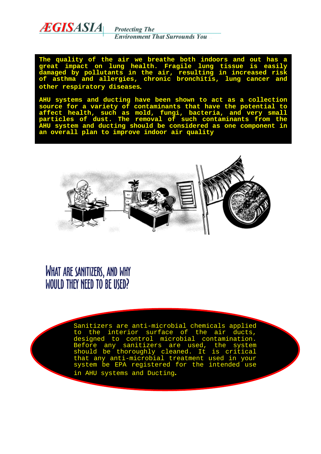

**Protecting The Environment That Surrounds You** 

**The quality of the air we breathe both indoors and out has a great impact on lung health. Fragile lung tissue is easily damaged by pollutants in the air, resulting in increased risk of asthma and allergies, chronic bronchitis, lung cancer and other respiratory diseases**.

**AHU systems and ducting have been shown to act as a collection source for a variety of contaminants that have the potential to affect health, such as mold, fungi, bacteria, and very small particles of dust. The removal of such contaminants from the AHU system and ducting should be considered as one component in an overall plan to improve indoor air quality**



WHAT ARE SANITIZERS, AND WHY WOULD THEY NEED TO BE USED?

> Sanitizers are anti-microbial chemicals applied the interior surface of the air igned to control microbial conta<br>ore any sanitizers are used, Before any sanitizers are used, the system<br>should be thoroughly cleaned. It is critical should be thoroughly cleaned. It is critical that any anti-microbial treatment used in your system be EPA registered for the intended use in AHU systems and Ducting**.**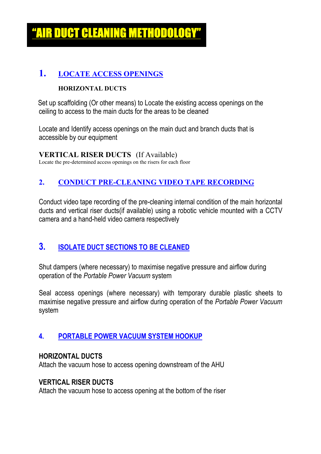<u>UGT GLEANING METHODOLO</u>

## **1. LOCATE ACCESS OPENINGS**

### **HORIZONTAL DUCTS**

 Set up scaffolding (Or other means) to Locate the existing access openings on the ceiling to access to the main ducts for the areas to be cleaned

Locate and Identify access openings on the main duct and branch ducts that is accessible by our equipment

**VERTICAL RISER DUCTS** (If Available)

Locate the pre-determined access openings on the risers for each floor

## **2. CONDUCT PRE-CLEANING VIDEO TAPE RECORDING**

Conduct video tape recording of the pre-cleaning internal condition of the main horizontal ducts and vertical riser ducts(if available) using a robotic vehicle mounted with a CCTV camera and a hand-held video camera respectively

# **3. ISOLATE DUCT SECTIONS TO BE CLEANED**

Shut dampers (where necessary) to maximise negative pressure and airflow during operation of the *Portable Power Vacuum* system

Seal access openings (where necessary) with temporary durable plastic sheets to maximise negative pressure and airflow during operation of the *Portable Power Vacuum* system

## **4. PORTABLE POWER VACUUM SYSTEM HOOKUP**

### **HORIZONTAL DUCTS**

Attach the vacuum hose to access opening downstream of the AHU

### **VERTICAL RISER DUCTS**

Attach the vacuum hose to access opening at the bottom of the riser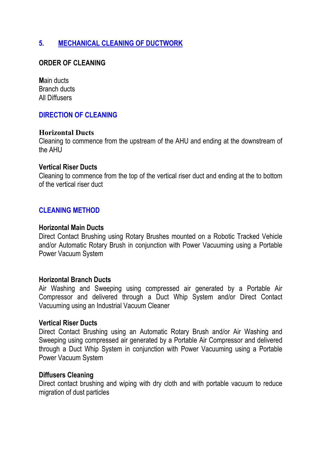## **5. MECHANICAL CLEANING OF DUCTWORK**

### **ORDER OF CLEANING**

**M**ain ducts Branch ducts All Diffusers

#### **DIRECTION OF CLEANING**

#### **Horizontal Ducts**

Cleaning to commence from the upstream of the AHU and ending at the downstream of the AHU

#### **Vertical Riser Ducts**

Cleaning to commence from the top of the vertical riser duct and ending at the to bottom of the vertical riser duct

### **CLEANING METHOD**

#### **Horizontal Main Ducts**

Direct Contact Brushing using Rotary Brushes mounted on a Robotic Tracked Vehicle and/or Automatic Rotary Brush in conjunction with Power Vacuuming using a Portable Power Vacuum System

#### **Horizontal Branch Ducts**

Air Washing and Sweeping using compressed air generated by a Portable Air Compressor and delivered through a Duct Whip System and/or Direct Contact Vacuuming using an Industrial Vacuum Cleaner

#### **Vertical Riser Ducts**

Direct Contact Brushing using an Automatic Rotary Brush and/or Air Washing and Sweeping using compressed air generated by a Portable Air Compressor and delivered through a Duct Whip System in conjunction with Power Vacuuming using a Portable Power Vacuum System

#### **Diffusers Cleaning**

Direct contact brushing and wiping with dry cloth and with portable vacuum to reduce migration of dust particles